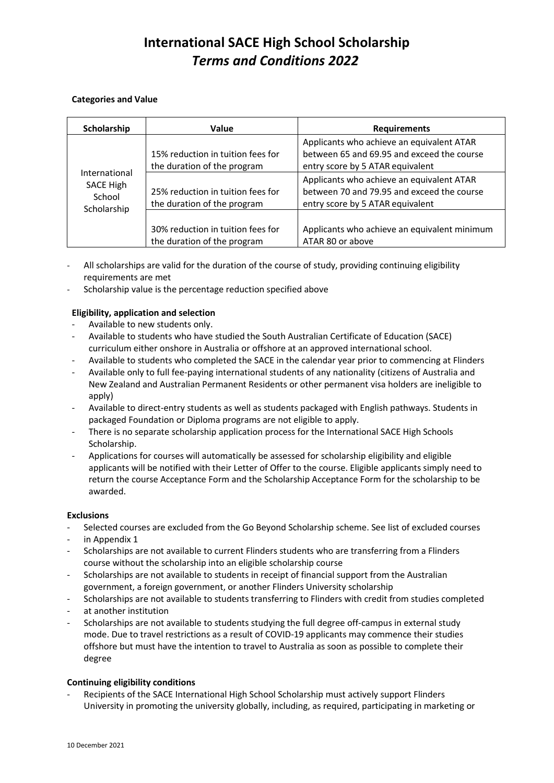# **International SACE High School Scholarship** *Terms and Conditions 2022*

### **Categories and Value**

| Scholarship                                                | <b>Value</b>                                                     | <b>Requirements</b>                                                                                                         |
|------------------------------------------------------------|------------------------------------------------------------------|-----------------------------------------------------------------------------------------------------------------------------|
| International<br><b>SACE High</b><br>School<br>Scholarship | 15% reduction in tuition fees for<br>the duration of the program | Applicants who achieve an equivalent ATAR<br>between 65 and 69.95 and exceed the course<br>entry score by 5 ATAR equivalent |
|                                                            | 25% reduction in tuition fees for<br>the duration of the program | Applicants who achieve an equivalent ATAR<br>between 70 and 79.95 and exceed the course<br>entry score by 5 ATAR equivalent |
|                                                            | 30% reduction in tuition fees for<br>the duration of the program | Applicants who achieve an equivalent minimum<br>ATAR 80 or above                                                            |

- All scholarships are valid for the duration of the course of study, providing continuing eligibility requirements are met
- Scholarship value is the percentage reduction specified above

## **Eligibility, application and selection**

- Available to new students only.
- Available to students who have studied the South Australian Certificate of Education (SACE) curriculum either onshore in Australia or offshore at an approved international school.
- Available to students who completed the SACE in the calendar year prior to commencing at Flinders
- Available only to full fee-paying international students of any nationality (citizens of Australia and New Zealand and Australian Permanent Residents or other permanent visa holders are ineligible to apply)
- Available to direct-entry students as well as students packaged with English pathways. Students in packaged Foundation or Diploma programs are not eligible to apply.
- There is no separate scholarship application process for the International SACE High Schools Scholarship.
- Applications for courses will automatically be assessed for scholarship eligibility and eligible applicants will be notified with their Letter of Offer to the course. Eligible applicants simply need to return the course Acceptance Form and the Scholarship Acceptance Form for the scholarship to be awarded.

### **Exclusions**

- Selected courses are excluded from the Go Beyond Scholarship scheme. See list of excluded courses
- in Appendix 1
- Scholarships are not available to current Flinders students who are transferring from a Flinders course without the scholarship into an eligible scholarship course
- Scholarships are not available to students in receipt of financial support from the Australian government, a foreign government, or another Flinders University scholarship
- Scholarships are not available to students transferring to Flinders with credit from studies completed
- at another institution
- Scholarships are not available to students studying the full degree off-campus in external study mode. Due to travel restrictions as a result of COVID-19 applicants may commence their studies offshore but must have the intention to travel to Australia as soon as possible to complete their degree

## **Continuing eligibility conditions**

Recipients of the SACE International High School Scholarship must actively support Flinders University in promoting the university globally, including, as required, participating in marketing or